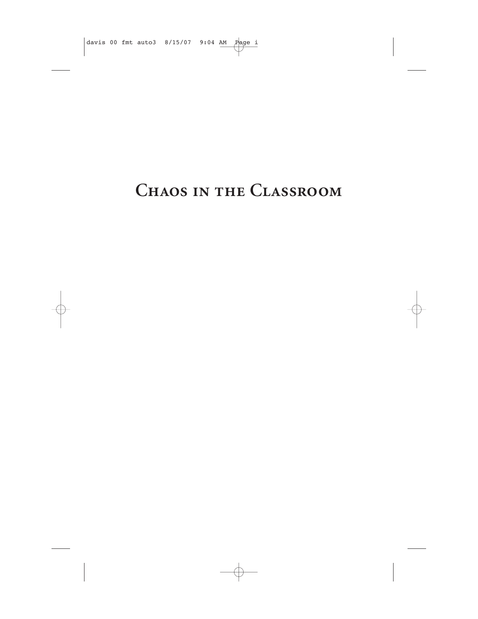# **CHAOS IN THE CLASSROOM**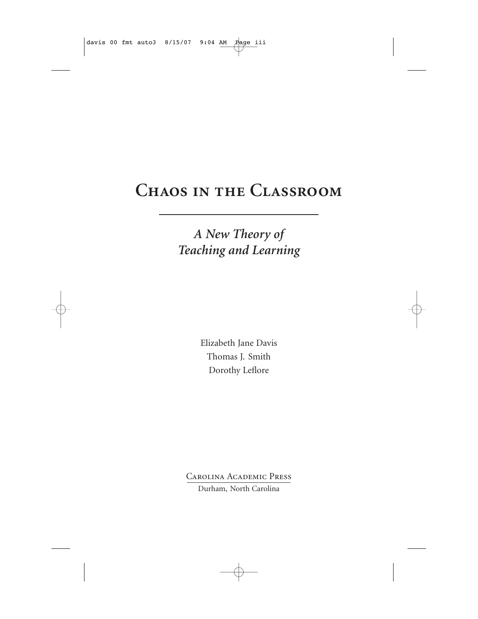# **Chaos in the Classroom**

## *A New Theory of Teaching and Learning*

Elizabeth Jane Davis Thomas J. Smith Dorothy Leflore

Carolina Academic Press Durham, North Carolina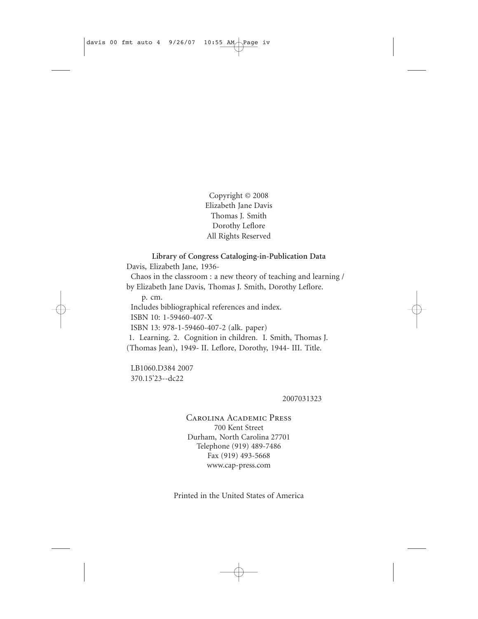Copyright © 2008 Elizabeth Jane Davis Thomas J. Smith Dorothy Leflore All Rights Reserved

#### **Library of Congress Cataloging-in-Publication Data**

Davis, Elizabeth Jane, 1936-

Chaos in the classroom : a new theory of teaching and learning / by Elizabeth Jane Davis, Thomas J. Smith, Dorothy Leflore.

p. cm.

Includes bibliographical references and index.

ISBN 10: 1-59460-407-X

ISBN 13: 978-1-59460-407-2 (alk. paper)

1. Learning. 2. Cognition in children. I. Smith, Thomas J. (Thomas Jean), 1949- II. Leflore, Dorothy, 1944- III. Title.

LB1060.D384 2007 370.15'23--dc22

2007031323

Carolina Academic Press 700 Kent Street Durham, North Carolina 27701 Telephone (919) 489-7486 Fax (919) 493-5668 www.cap-press.com

Printed in the United States of America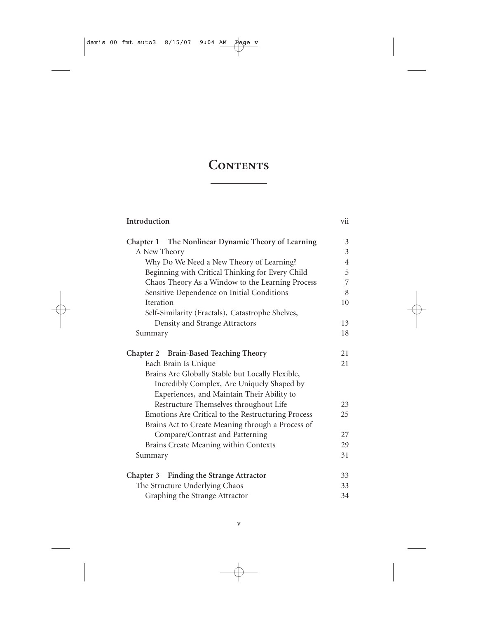## CONTENTS

### **Introduction** vii

| Chapter 1 The Nonlinear Dynamic Theory of Learning | $\overline{3}$ |
|----------------------------------------------------|----------------|
| A New Theory                                       | 3              |
| Why Do We Need a New Theory of Learning?           | $\overline{4}$ |
| Beginning with Critical Thinking for Every Child   | 5              |
| Chaos Theory As a Window to the Learning Process   | 7              |
| Sensitive Dependence on Initial Conditions         | 8              |
| Iteration                                          | 10             |
| Self-Similarity (Fractals), Catastrophe Shelves,   |                |
| Density and Strange Attractors                     | 13             |
| Summary                                            | 18             |
| Chapter 2 Brain-Based Teaching Theory              | 21             |
| Each Brain Is Unique                               | 21             |
| Brains Are Globally Stable but Locally Flexible,   |                |
| Incredibly Complex, Are Uniquely Shaped by         |                |
| Experiences, and Maintain Their Ability to         |                |
| Restructure Themselves throughout Life             | 23             |
| Emotions Are Critical to the Restructuring Process | 25             |
| Brains Act to Create Meaning through a Process of  |                |
| Compare/Contrast and Patterning                    | 27             |
| Brains Create Meaning within Contexts              | 29             |
| Summary                                            | 31             |
|                                                    |                |
| Chapter 3 Finding the Strange Attractor            | 33             |
| The Structure Underlying Chaos                     | 33             |
| Graphing the Strange Attractor                     | 34             |
|                                                    |                |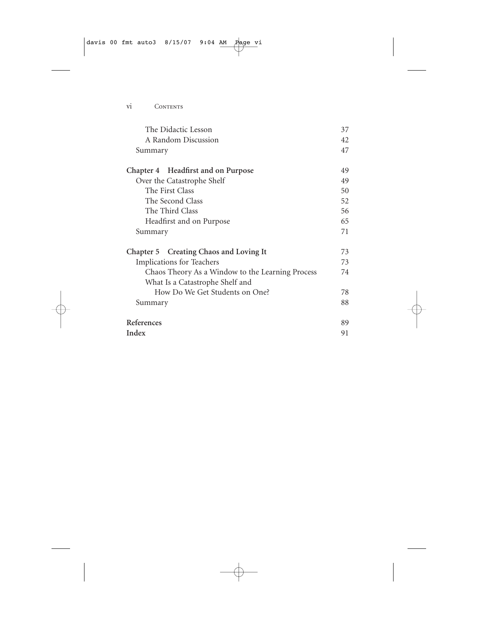| The Didactic Lesson                              | 37 |
|--------------------------------------------------|----|
| A Random Discussion                              | 42 |
| Summary                                          | 47 |
| Chapter 4 Headfirst and on Purpose               | 49 |
| Over the Catastrophe Shelf                       | 49 |
| The First Class                                  | 50 |
| The Second Class                                 | 52 |
| The Third Class                                  | 56 |
| Headfirst and on Purpose                         | 65 |
| Summary                                          | 71 |
| Chapter 5 Creating Chaos and Loving It           | 73 |
| <b>Implications for Teachers</b>                 | 73 |
| Chaos Theory As a Window to the Learning Process | 74 |
| What Is a Catastrophe Shelf and                  |    |
| How Do We Get Students on One?                   | 78 |
| Summary                                          | 88 |
| References                                       | 89 |
| Index                                            | 91 |
|                                                  |    |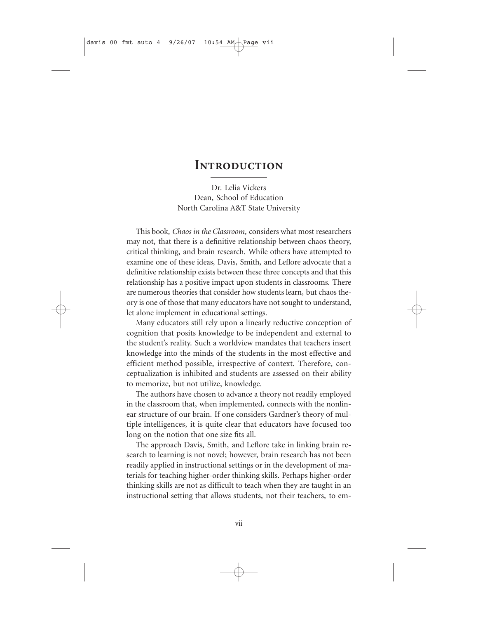### **INTRODUCTION**

Dr. Lelia Vickers Dean, School of Education North Carolina A&T State University

This book, *Chaos in the Classroom*, considers what most researchers may not, that there is a definitive relationship between chaos theory, critical thinking, and brain research. While others have attempted to examine one of these ideas, Davis, Smith, and Leflore advocate that a definitive relationship exists between these three concepts and that this relationship has a positive impact upon students in classrooms. There are numerous theories that consider how students learn, but chaos theory is one of those that many educators have not sought to understand, let alone implement in educational settings.

Many educators still rely upon a linearly reductive conception of cognition that posits knowledge to be independent and external to the student's reality. Such a worldview mandates that teachers insert knowledge into the minds of the students in the most effective and efficient method possible, irrespective of context. Therefore, conceptualization is inhibited and students are assessed on their ability to memorize, but not utilize, knowledge.

The authors have chosen to advance a theory not readily employed in the classroom that, when implemented, connects with the nonlinear structure of our brain. If one considers Gardner's theory of multiple intelligences, it is quite clear that educators have focused too long on the notion that one size fits all.

The approach Davis, Smith, and Leflore take in linking brain research to learning is not novel; however, brain research has not been readily applied in instructional settings or in the development of materials for teaching higher-order thinking skills. Perhaps higher-order thinking skills are not as difficult to teach when they are taught in an instructional setting that allows students, not their teachers, to em